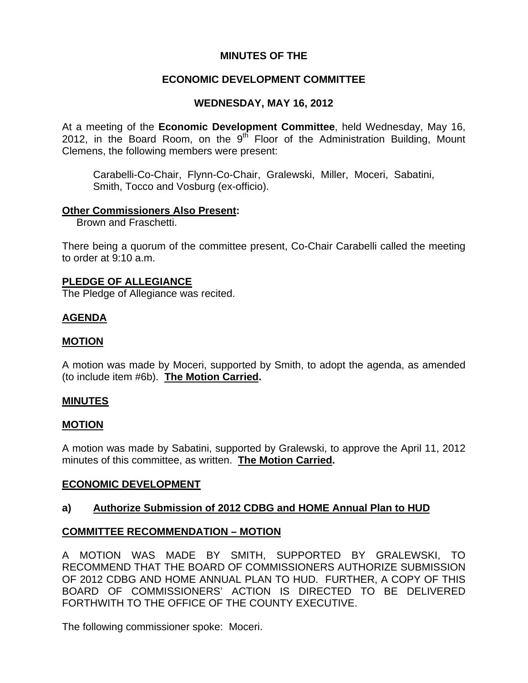### **MINUTES OF THE**

## **ECONOMIC DEVELOPMENT COMMITTEE**

### **WEDNESDAY, MAY 16, 2012**

At a meeting of the **Economic Development Committee**, held Wednesday, May 16, 2012, in the Board Room, on the  $9<sup>th</sup>$  Floor of the Administration Building, Mount Clemens, the following members were present:

Carabelli-Co-Chair, Flynn-Co-Chair, Gralewski, Miller, Moceri, Sabatini, Smith, Tocco and Vosburg (ex-officio).

### **Other Commissioners Also Present:**

Brown and Fraschetti.

There being a quorum of the committee present, Co-Chair Carabelli called the meeting to order at 9:10 a.m.

#### **PLEDGE OF ALLEGIANCE**

The Pledge of Allegiance was recited.

## **AGENDA**

### **MOTION**

A motion was made by Moceri, supported by Smith, to adopt the agenda, as amended (to include item #6b). **The Motion Carried.** 

#### **MINUTES**

#### **MOTION**

A motion was made by Sabatini, supported by Gralewski, to approve the April 11, 2012 minutes of this committee, as written. **The Motion Carried.** 

#### **ECONOMIC DEVELOPMENT**

## **a) Authorize Submission of 2012 CDBG and HOME Annual Plan to HUD**

### **COMMITTEE RECOMMENDATION – MOTION**

A MOTION WAS MADE BY SMITH, SUPPORTED BY GRALEWSKI, TO RECOMMEND THAT THE BOARD OF COMMISSIONERS AUTHORIZE SUBMISSION OF 2012 CDBG AND HOME ANNUAL PLAN TO HUD. FURTHER, A COPY OF THIS BOARD OF COMMISSIONERS' ACTION IS DIRECTED TO BE DELIVERED FORTHWITH TO THE OFFICE OF THE COUNTY EXECUTIVE.

The following commissioner spoke: Moceri.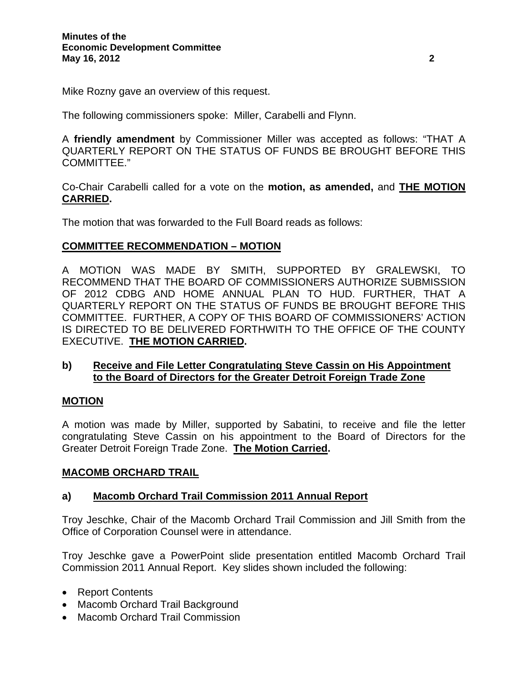Mike Rozny gave an overview of this request.

The following commissioners spoke: Miller, Carabelli and Flynn.

A **friendly amendment** by Commissioner Miller was accepted as follows: "THAT A QUARTERLY REPORT ON THE STATUS OF FUNDS BE BROUGHT BEFORE THIS COMMITTEE."

Co-Chair Carabelli called for a vote on the **motion, as amended,** and **THE MOTION CARRIED.** 

The motion that was forwarded to the Full Board reads as follows:

## **COMMITTEE RECOMMENDATION – MOTION**

A MOTION WAS MADE BY SMITH, SUPPORTED BY GRALEWSKI, TO RECOMMEND THAT THE BOARD OF COMMISSIONERS AUTHORIZE SUBMISSION OF 2012 CDBG AND HOME ANNUAL PLAN TO HUD. FURTHER, THAT A QUARTERLY REPORT ON THE STATUS OF FUNDS BE BROUGHT BEFORE THIS COMMITTEE. FURTHER, A COPY OF THIS BOARD OF COMMISSIONERS' ACTION IS DIRECTED TO BE DELIVERED FORTHWITH TO THE OFFICE OF THE COUNTY EXECUTIVE. **THE MOTION CARRIED.** 

## **b) Receive and File Letter Congratulating Steve Cassin on His Appointment to the Board of Directors for the Greater Detroit Foreign Trade Zone**

## **MOTION**

A motion was made by Miller, supported by Sabatini, to receive and file the letter congratulating Steve Cassin on his appointment to the Board of Directors for the Greater Detroit Foreign Trade Zone. **The Motion Carried.** 

#### **MACOMB ORCHARD TRAIL**

## **a) Macomb Orchard Trail Commission 2011 Annual Report**

Troy Jeschke, Chair of the Macomb Orchard Trail Commission and Jill Smith from the Office of Corporation Counsel were in attendance.

Troy Jeschke gave a PowerPoint slide presentation entitled Macomb Orchard Trail Commission 2011 Annual Report. Key slides shown included the following:

- Report Contents
- Macomb Orchard Trail Background
- Macomb Orchard Trail Commission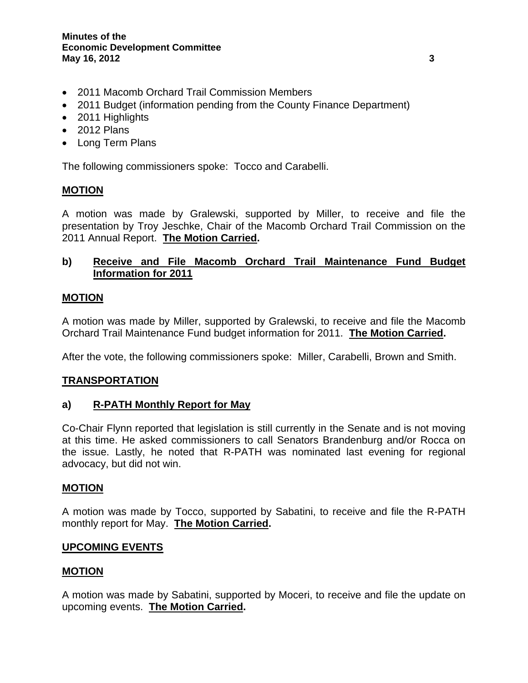- 2011 Macomb Orchard Trail Commission Members
- 2011 Budget (information pending from the County Finance Department)
- 2011 Highlights
- 2012 Plans
- Long Term Plans

The following commissioners spoke: Tocco and Carabelli.

## **MOTION**

A motion was made by Gralewski, supported by Miller, to receive and file the presentation by Troy Jeschke, Chair of the Macomb Orchard Trail Commission on the 2011 Annual Report. **The Motion Carried.** 

# **b) Receive and File Macomb Orchard Trail Maintenance Fund Budget Information for 2011**

## **MOTION**

A motion was made by Miller, supported by Gralewski, to receive and file the Macomb Orchard Trail Maintenance Fund budget information for 2011. **The Motion Carried.** 

After the vote, the following commissioners spoke: Miller, Carabelli, Brown and Smith.

## **TRANSPORTATION**

## **a) R-PATH Monthly Report for May**

Co-Chair Flynn reported that legislation is still currently in the Senate and is not moving at this time. He asked commissioners to call Senators Brandenburg and/or Rocca on the issue. Lastly, he noted that R-PATH was nominated last evening for regional advocacy, but did not win.

## **MOTION**

A motion was made by Tocco, supported by Sabatini, to receive and file the R-PATH monthly report for May. **The Motion Carried.**

## **UPCOMING EVENTS**

## **MOTION**

A motion was made by Sabatini, supported by Moceri, to receive and file the update on upcoming events. **The Motion Carried.**